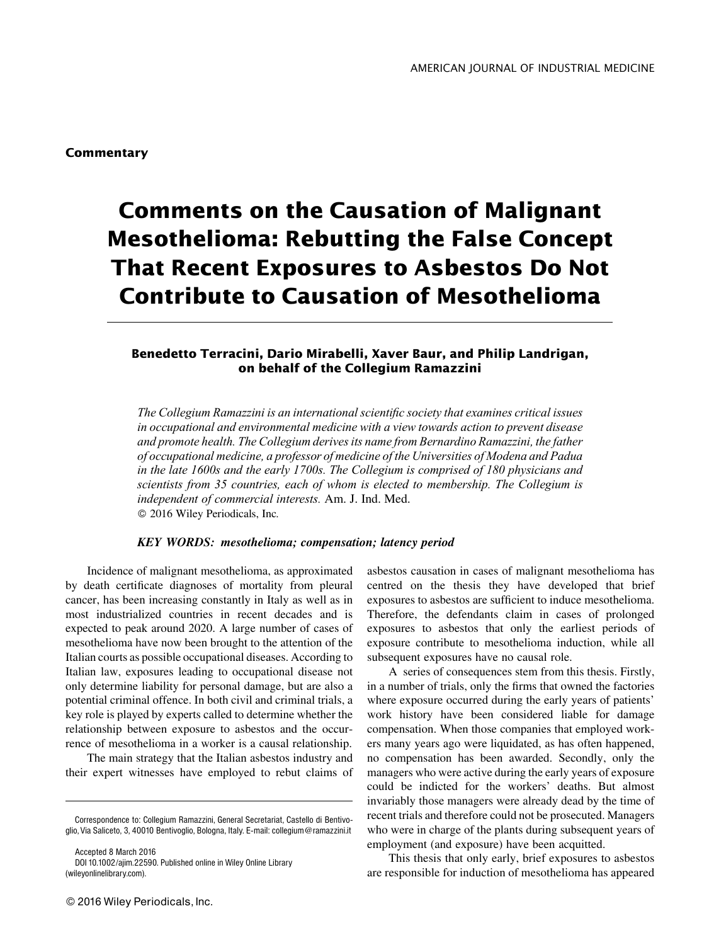# Comments on the Causation of Malignant Mesothelioma: Rebutting the False Concept That Recent Exposures to Asbestos Do Not Contribute to Causation of Mesothelioma

### Benedetto Terracini, Dario Mirabelli, Xaver Baur, and Philip Landrigan, on behalf of the Collegium Ramazzini

The Collegium Ramazzini is an international scientific society that examines critical issues in occupational and environmental medicine with a view towards action to prevent disease and promote health. The Collegium derives its name from Bernardino Ramazzini, the father of occupational medicine, a professor of medicine of the Universities of Modena and Padua in the late 1600s and the early 1700s. The Collegium is comprised of 180 physicians and scientists from 35 countries, each of whom is elected to membership. The Collegium is independent of commercial interests. Am. J. Ind. Med. 2016 Wiley Periodicals, Inc.

#### KEY WORDS: mesothelioma; compensation; latency period

Incidence of malignant mesothelioma, as approximated by death certificate diagnoses of mortality from pleural cancer, has been increasing constantly in Italy as well as in most industrialized countries in recent decades and is expected to peak around 2020. A large number of cases of mesothelioma have now been brought to the attention of the Italian courts as possible occupational diseases. According to Italian law, exposures leading to occupational disease not only determine liability for personal damage, but are also a potential criminal offence. In both civil and criminal trials, a key role is played by experts called to determine whether the relationship between exposure to asbestos and the occurrence of mesothelioma in a worker is a causal relationship.

The main strategy that the Italian asbestos industry and their expert witnesses have employed to rebut claims of

Accepted 8 March 2016 DOI 10.1002/ajim.22590. Published online in Wiley Online Library (wileyonlinelibrary.com).

© 2016 Wiley Periodicals, Inc.

asbestos causation in cases of malignant mesothelioma has centred on the thesis they have developed that brief exposures to asbestos are sufficient to induce mesothelioma. Therefore, the defendants claim in cases of prolonged exposures to asbestos that only the earliest periods of exposure contribute to mesothelioma induction, while all subsequent exposures have no causal role.

A series of consequences stem from this thesis. Firstly, in a number of trials, only the firms that owned the factories where exposure occurred during the early years of patients' work history have been considered liable for damage compensation. When those companies that employed workers many years ago were liquidated, as has often happened, no compensation has been awarded. Secondly, only the managers who were active during the early years of exposure could be indicted for the workers' deaths. But almost invariably those managers were already dead by the time of recent trials and therefore could not be prosecuted. Managers who were in charge of the plants during subsequent years of employment (and exposure) have been acquitted.

This thesis that only early, brief exposures to asbestos are responsible for induction of mesothelioma has appeared

Correspondence to: Collegium Ramazzini, General Secretariat, Castello di Bentivoglio, Via Saliceto, 3, 40010 Bentivoglio, Bologna, Italy. E-mail: collegium@ramazzini.it